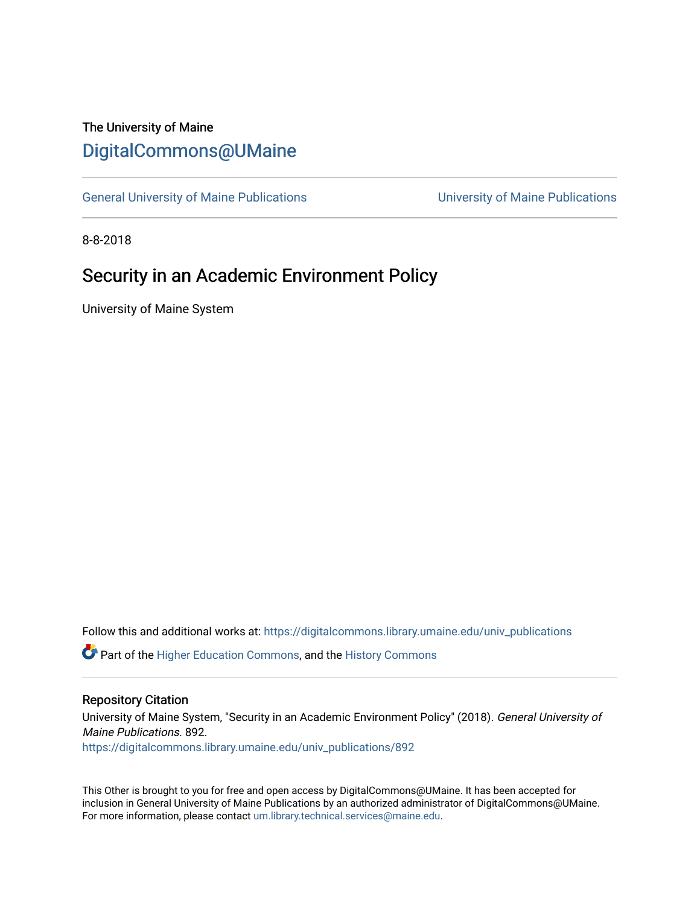# The University of Maine [DigitalCommons@UMaine](https://digitalcommons.library.umaine.edu/)

[General University of Maine Publications](https://digitalcommons.library.umaine.edu/univ_publications) [University of Maine Publications](https://digitalcommons.library.umaine.edu/umaine_publications) 

8-8-2018

## Security in an Academic Environment Policy

University of Maine System

Follow this and additional works at: [https://digitalcommons.library.umaine.edu/univ\\_publications](https://digitalcommons.library.umaine.edu/univ_publications?utm_source=digitalcommons.library.umaine.edu%2Funiv_publications%2F892&utm_medium=PDF&utm_campaign=PDFCoverPages) 

**C** Part of the [Higher Education Commons,](http://network.bepress.com/hgg/discipline/1245?utm_source=digitalcommons.library.umaine.edu%2Funiv_publications%2F892&utm_medium=PDF&utm_campaign=PDFCoverPages) and the [History Commons](http://network.bepress.com/hgg/discipline/489?utm_source=digitalcommons.library.umaine.edu%2Funiv_publications%2F892&utm_medium=PDF&utm_campaign=PDFCoverPages)

#### Repository Citation

University of Maine System, "Security in an Academic Environment Policy" (2018). General University of Maine Publications. 892.

[https://digitalcommons.library.umaine.edu/univ\\_publications/892](https://digitalcommons.library.umaine.edu/univ_publications/892?utm_source=digitalcommons.library.umaine.edu%2Funiv_publications%2F892&utm_medium=PDF&utm_campaign=PDFCoverPages) 

This Other is brought to you for free and open access by DigitalCommons@UMaine. It has been accepted for inclusion in General University of Maine Publications by an authorized administrator of DigitalCommons@UMaine. For more information, please contact [um.library.technical.services@maine.edu](mailto:um.library.technical.services@maine.edu).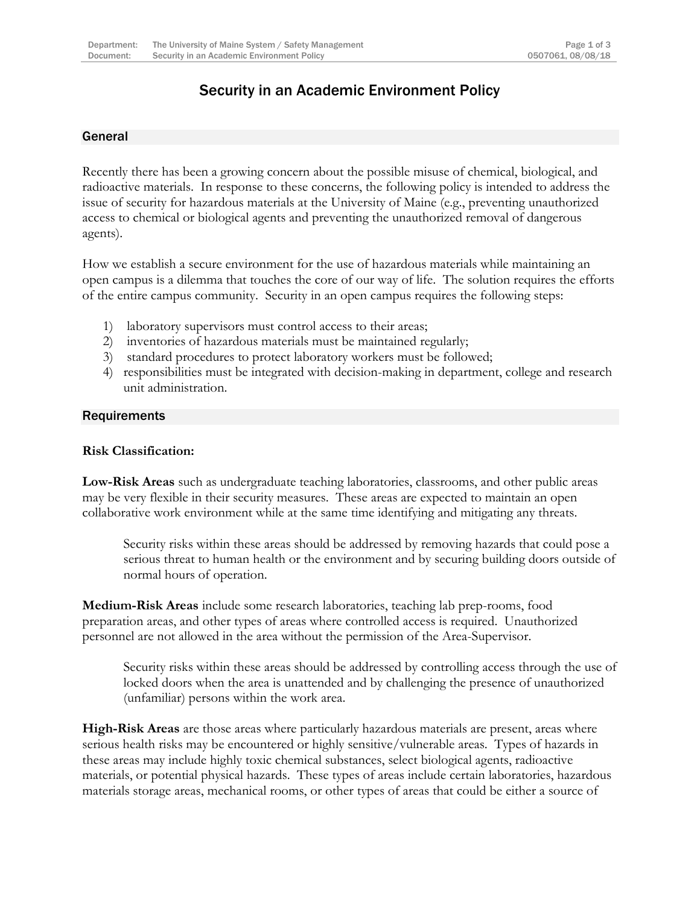## Security in an Academic Environment Policy

#### General

Recently there has been a growing concern about the possible misuse of chemical, biological, and radioactive materials. In response to these concerns, the following policy is intended to address the issue of security for hazardous materials at the University of Maine (e.g., preventing unauthorized access to chemical or biological agents and preventing the unauthorized removal of dangerous agents).

How we establish a secure environment for the use of hazardous materials while maintaining an open campus is a dilemma that touches the core of our way of life. The solution requires the efforts of the entire campus community. Security in an open campus requires the following steps:

- 1) laboratory supervisors must control access to their areas;
- 2) inventories of hazardous materials must be maintained regularly;
- 3) standard procedures to protect laboratory workers must be followed;
- 4) responsibilities must be integrated with decision-making in department, college and research unit administration.

#### **Requirements**

#### **Risk Classification:**

**Low-Risk Areas** such as undergraduate teaching laboratories, classrooms, and other public areas may be very flexible in their security measures. These areas are expected to maintain an open collaborative work environment while at the same time identifying and mitigating any threats.

Security risks within these areas should be addressed by removing hazards that could pose a serious threat to human health or the environment and by securing building doors outside of normal hours of operation.

**Medium-Risk Areas** include some research laboratories, teaching lab prep-rooms, food preparation areas, and other types of areas where controlled access is required. Unauthorized personnel are not allowed in the area without the permission of the Area-Supervisor.

Security risks within these areas should be addressed by controlling access through the use of locked doors when the area is unattended and by challenging the presence of unauthorized (unfamiliar) persons within the work area.

**High-Risk Areas** are those areas where particularly hazardous materials are present, areas where serious health risks may be encountered or highly sensitive/vulnerable areas. Types of hazards in these areas may include highly toxic chemical substances, select biological agents, radioactive materials, or potential physical hazards. These types of areas include certain laboratories, hazardous materials storage areas, mechanical rooms, or other types of areas that could be either a source of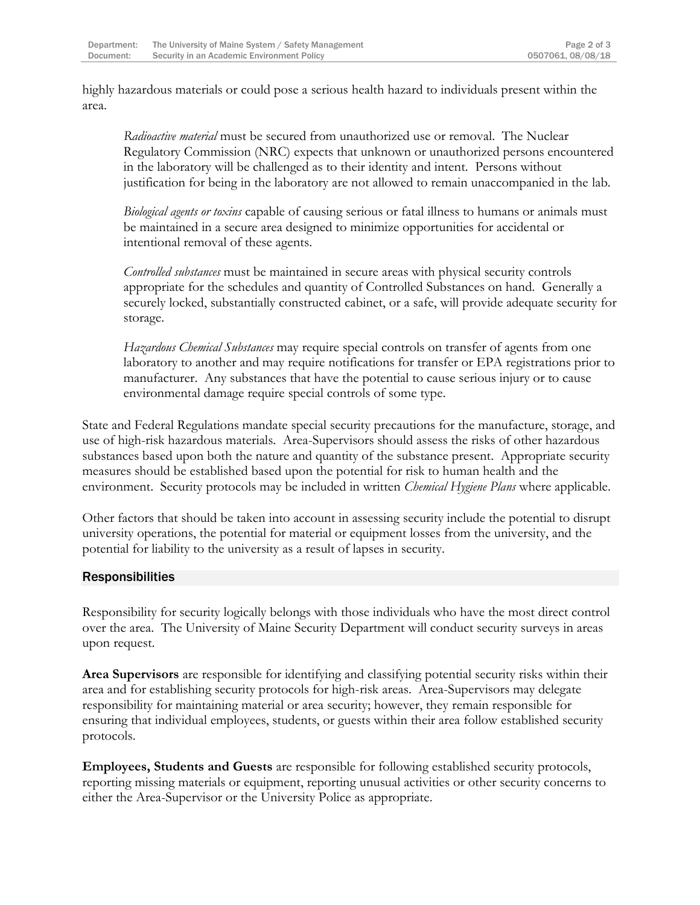highly hazardous materials or could pose a serious health hazard to individuals present within the area.

*Radioactive material* must be secured from unauthorized use or removal. The Nuclear Regulatory Commission (NRC) expects that unknown or unauthorized persons encountered in the laboratory will be challenged as to their identity and intent. Persons without justification for being in the laboratory are not allowed to remain unaccompanied in the lab.

*Biological agents or toxins* capable of causing serious or fatal illness to humans or animals must be maintained in a secure area designed to minimize opportunities for accidental or intentional removal of these agents.

*Controlled substances* must be maintained in secure areas with physical security controls appropriate for the schedules and quantity of Controlled Substances on hand. Generally a securely locked, substantially constructed cabinet, or a safe, will provide adequate security for storage.

*Hazardous Chemical Substances* may require special controls on transfer of agents from one laboratory to another and may require notifications for transfer or EPA registrations prior to manufacturer. Any substances that have the potential to cause serious injury or to cause environmental damage require special controls of some type.

State and Federal Regulations mandate special security precautions for the manufacture, storage, and use of high-risk hazardous materials. Area-Supervisors should assess the risks of other hazardous substances based upon both the nature and quantity of the substance present. Appropriate security measures should be established based upon the potential for risk to human health and the environment. Security protocols may be included in written *Chemical Hygiene Plans* where applicable.

Other factors that should be taken into account in assessing security include the potential to disrupt university operations, the potential for material or equipment losses from the university, and the potential for liability to the university as a result of lapses in security.

### **Responsibilities**

Responsibility for security logically belongs with those individuals who have the most direct control over the area. The University of Maine Security Department will conduct security surveys in areas upon request.

**Area Supervisors** are responsible for identifying and classifying potential security risks within their area and for establishing security protocols for high-risk areas. Area-Supervisors may delegate responsibility for maintaining material or area security; however, they remain responsible for ensuring that individual employees, students, or guests within their area follow established security protocols.

**Employees, Students and Guests** are responsible for following established security protocols, reporting missing materials or equipment, reporting unusual activities or other security concerns to either the Area-Supervisor or the University Police as appropriate.